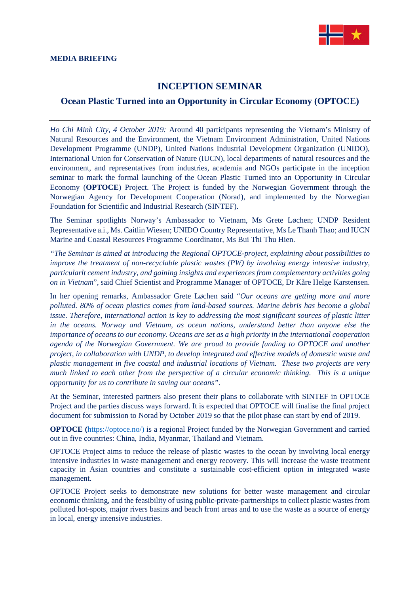

## **INCEPTION SEMINAR**

## **Ocean Plastic Turned into an Opportunity in Circular Economy (OPTOCE)**

*Ho Chi Minh City, 4 October 2019:* Around 40 participants representing the Vietnam's Ministry of Natural Resources and the Environment, the Vietnam Environment Administration, United Nations Development Programme (UNDP), United Nations Industrial Development Organization (UNIDO), International Union for Conservation of Nature (IUCN), local departments of natural resources and the environment, and representatives from industries, academia and NGOs participate in the inception seminar to mark the formal launching of the Ocean Plastic Turned into an Opportunity in Circular Economy (**OPTOCE**) Project. The Project is funded by the Norwegian Government through the Norwegian Agency for Development Cooperation [\(Norad\)](https://www.facebook.com/Norad/?__tn__=%2CdK%2AF-R&eid=ARC9hFDw4r5j7D_on-XEx1lOEMYF37SQ4sZOqhSnWDRvw9NiqSm5cA2BYB59jaxtPYNhq_YKBO_pITj1), and implemented by the Norwegian Foundation for Scientific and Industrial Research (SINTEF).

The Seminar spotlights Norway's Ambassador to Vietnam, Ms Grete Løchen; UNDP Resident Representative a.i., Ms. Caitlin Wiesen; UNIDO Country Representative, Ms Le Thanh Thao; and IUCN Marine and Coastal Resources Programme Coordinator, Ms Bui Thi Thu Hien.

*"The Seminar is aimed at introducing the Regional OPTOCE-project, explaining about possibilities to improve the treatment of non-recyclable plastic wastes (PW) by involving energy intensive industry, particularlt cement industry, and gaining insights and experiences from complementary activities going on in Vietnam*", said Chief Scientist and Programme Manager of OPTOCE, Dr Kåre Helge Karstensen.

In her opening remarks, Ambassador Grete Løchen said "*Our oceans are getting more and more polluted. 80% of ocean plastics comes from land-based sources. Marine debris has become a global issue. Therefore, international action is key to addressing the most significant sources of plastic litter in the oceans. Norway and Vietnam, as ocean nations, understand better than anyone else the importance of oceans to our economy. Oceans are set as a high priority in the international cooperation agenda of the Norwegian Government. We are proud to provide funding to OPTOCE and another project, in collaboration with UNDP, to develop integrated and effective models of domestic waste and plastic management in five coastal and industrial locations of Vietnam. These two projects are very much linked to each other from the perspective of a circular economic thinking. This is a unique opportunity for us to contribute in saving our oceans".*

At the Seminar, interested partners also present their plans to collaborate with SINTEF in OPTOCE Project and the parties discuss ways forward. It is expected that OPTOCE will finalise the final project document for submission to Norad by October 2019 so that the pilot phase can start by end of 2019.

**OPTOCE** ([https://optoce.no/\)](https://optoce.no/) is a regional Project funded by the Norwegian Government and carried out in five countries: China, India, Myanmar, Thailand and Vietnam.

OPTOCE Project aims to reduce the release of plastic wastes to the ocean by involving local energy intensive industries in waste management and energy recovery. This will increase the waste treatment capacity in Asian countries and constitute a sustainable cost-efficient option in integrated waste management.

OPTOCE Project seeks to demonstrate new solutions for better waste management and circular economic thinking, and the feasibility of using public-private-partnerships to collect plastic wastes from polluted hot-spots, major rivers basins and beach front areas and to use the waste as a source of energy in local, energy intensive industries.